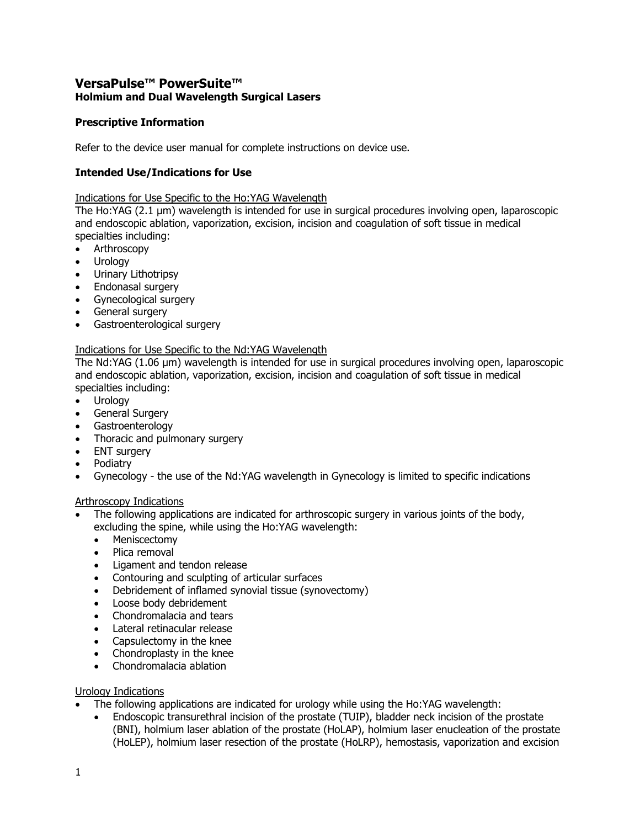# **VersaPulse™ PowerSuite™ Holmium and Dual Wavelength Surgical Lasers**

# **Prescriptive Information**

Refer to the device user manual for complete instructions on device use.

# **Intended Use/Indications for Use**

Indications for Use Specific to the Ho:YAG Wavelength

The Ho:YAG (2.1 µm) wavelength is intended for use in surgical procedures involving open, laparoscopic and endoscopic ablation, vaporization, excision, incision and coagulation of soft tissue in medical specialties including:

- Arthroscopy
- Urology
- Urinary Lithotripsy
- Endonasal surgery
- Gynecological surgery
- General surgery
- Gastroenterological surgery

# Indications for Use Specific to the Nd:YAG Wavelength

The Nd:YAG (1.06 µm) wavelength is intended for use in surgical procedures involving open, laparoscopic and endoscopic ablation, vaporization, excision, incision and coagulation of soft tissue in medical specialties including:

- Urology
- General Surgery
- Gastroenterology
- Thoracic and pulmonary surgery
- ENT surgery
- Podiatry
- Gynecology the use of the Nd:YAG wavelength in Gynecology is limited to specific indications

#### Arthroscopy Indications

- The following applications are indicated for arthroscopic surgery in various joints of the body, excluding the spine, while using the Ho:YAG wavelength:
	- Meniscectomy
	- Plica removal
	- Ligament and tendon release
	- Contouring and sculpting of articular surfaces
	- Debridement of inflamed synovial tissue (synovectomy)
	- Loose body debridement
	- Chondromalacia and tears
	- Lateral retinacular release
	- Capsulectomy in the knee
	- Chondroplasty in the knee
	- Chondromalacia ablation

#### Urology Indications

- The following applications are indicated for urology while using the Ho:YAG wavelength:
	- Endoscopic transurethral incision of the prostate (TUIP), bladder neck incision of the prostate (BNI), holmium laser ablation of the prostate (HoLAP), holmium laser enucleation of the prostate (HoLEP), holmium laser resection of the prostate (HoLRP), hemostasis, vaporization and excision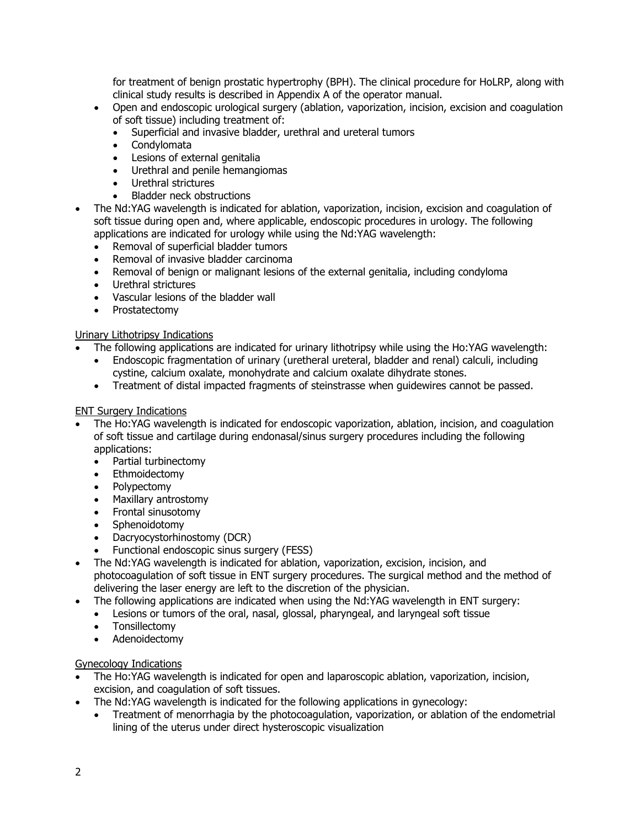for treatment of benign prostatic hypertrophy (BPH). The clinical procedure for HoLRP, along with clinical study results is described in Appendix A of the operator manual.

- Open and endoscopic urological surgery (ablation, vaporization, incision, excision and coagulation of soft tissue) including treatment of:
	- Superficial and invasive bladder, urethral and ureteral tumors
	- Condylomata
	- Lesions of external genitalia
	- Urethral and penile hemangiomas
	- Urethral strictures
	- Bladder neck obstructions
- The Nd:YAG wavelength is indicated for ablation, vaporization, incision, excision and coagulation of soft tissue during open and, where applicable, endoscopic procedures in urology. The following applications are indicated for urology while using the Nd:YAG wavelength:
	- Removal of superficial bladder tumors
	- Removal of invasive bladder carcinoma
	- Removal of benign or malignant lesions of the external genitalia, including condyloma
	- Urethral strictures
	- Vascular lesions of the bladder wall
	- Prostatectomy

# Urinary Lithotripsy Indications

- The following applications are indicated for urinary lithotripsy while using the Ho:YAG wavelength:
	- Endoscopic fragmentation of urinary (uretheral ureteral, bladder and renal) calculi, including cystine, calcium oxalate, monohydrate and calcium oxalate dihydrate stones.
	- Treatment of distal impacted fragments of steinstrasse when guidewires cannot be passed.

# ENT Surgery Indications

- The Ho:YAG wavelength is indicated for endoscopic vaporization, ablation, incision, and coagulation of soft tissue and cartilage during endonasal/sinus surgery procedures including the following applications:
	- Partial turbinectomy
	- Ethmoidectomy
	- Polypectomy
	- Maxillary antrostomy
	- Frontal sinusotomy
	- Sphenoidotomy
	- Dacryocystorhinostomy (DCR)
	- Functional endoscopic sinus surgery (FESS)
- The Nd:YAG wavelength is indicated for ablation, vaporization, excision, incision, and photocoagulation of soft tissue in ENT surgery procedures. The surgical method and the method of delivering the laser energy are left to the discretion of the physician.
- The following applications are indicated when using the Nd:YAG wavelength in ENT surgery:
	- Lesions or tumors of the oral, nasal, glossal, pharyngeal, and laryngeal soft tissue
	- Tonsillectomy
	- Adenoidectomy

#### Gynecology Indications

- The Ho:YAG wavelength is indicated for open and laparoscopic ablation, vaporization, incision, excision, and coagulation of soft tissues.
- The Nd:YAG wavelength is indicated for the following applications in gynecology:
	- Treatment of menorrhagia by the photocoagulation, vaporization, or ablation of the endometrial lining of the uterus under direct hysteroscopic visualization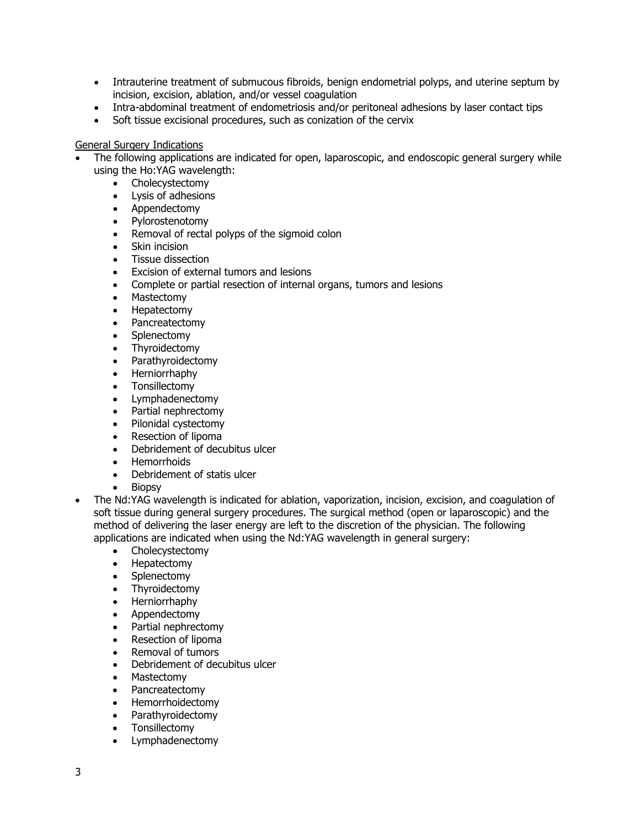- Intrauterine treatment of submucous fibroids, benign endometrial polyps, and uterine septum by incision, excision, ablation, and/or vessel coagulation
- Intra-abdominal treatment of endometriosis and/or peritoneal adhesions by laser contact tips
- Soft tissue excisional procedures, such as conization of the cervix

#### General Surgery Indications

- The following applications are indicated for open, laparoscopic, and endoscopic general surgery while using the Ho:YAG wavelength:
	- Cholecystectomy
	- Lysis of adhesions
	- Appendectomy
	- Pylorostenotomy
	- Removal of rectal polyps of the sigmoid colon
	- Skin incision
	- Tissue dissection
	- Excision of external tumors and lesions
	- Complete or partial resection of internal organs, tumors and lesions<br>• Mastectomy
	- Mastectomy
	- Hepatectomy
	- Pancreatectomy
	- **Splenectomy**
	- Thyroidectomy
	- Parathyroidectomy
	- Herniorrhaphy
	- Tonsillectomy
	- Lymphadenectomy
	- Partial nephrectomy
	- Pilonidal cystectomy
	- Resection of lipoma
	- Debridement of decubitus ulcer
	- Hemorrhoids
	- Debridement of statis ulcer
	- Biopsy
- The Nd:YAG wavelength is indicated for ablation, vaporization, incision, excision, and coagulation of soft tissue during general surgery procedures. The surgical method (open or laparoscopic) and the method of delivering the laser energy are left to the discretion of the physician. The following applications are indicated when using the Nd:YAG wavelength in general surgery:
	- Cholecystectomy
	- Hepatectomy
	- Splenectomy
	- Thyroidectomy
	- Herniorrhaphy
	- Appendectomy
	- Partial nephrectomy
	- Resection of lipoma
	- Removal of tumors
	- Debridement of decubitus ulcer
	- Mastectomy
	- Pancreatectomy
	- Hemorrhoidectomy
	- Parathyroidectomy
	- Tonsillectomy
	- Lymphadenectomy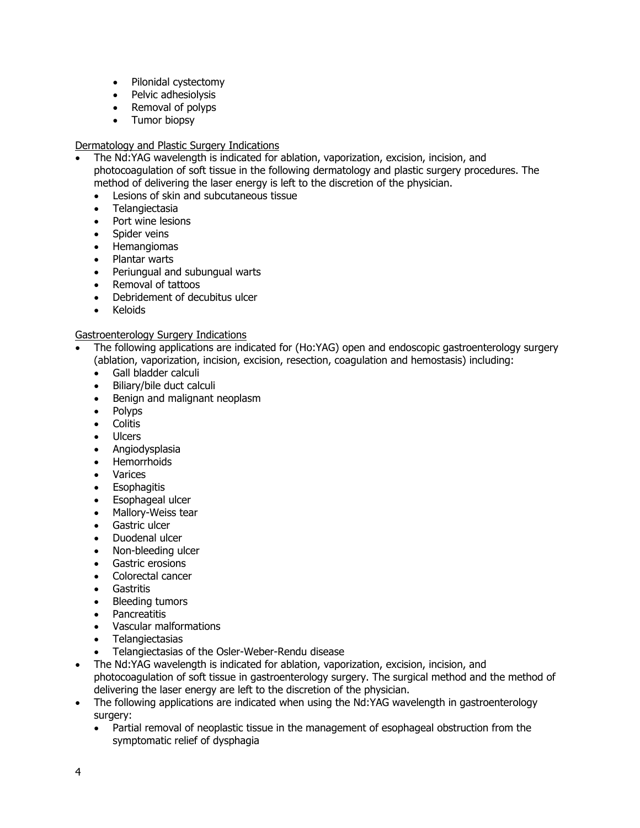- Pilonidal cystectomy
- Pelvic adhesiolysis
- Removal of polyps
- Tumor biopsy

#### Dermatology and Plastic Surgery Indications

- The Nd:YAG wavelength is indicated for ablation, vaporization, excision, incision, and photocoagulation of soft tissue in the following dermatology and plastic surgery procedures. The method of delivering the laser energy is left to the discretion of the physician.
	- Lesions of skin and subcutaneous tissue
	- Telangiectasia
	- Port wine lesions
	- Spider veins
	- Hemangiomas
	- Plantar warts
	- Periungual and subungual warts
	- Removal of tattoos
	- Debridement of decubitus ulcer
	- Keloids

#### Gastroenterology Surgery Indications

- The following applications are indicated for (Ho:YAG) open and endoscopic gastroenterology surgery (ablation, vaporization, incision, excision, resection, coagulation and hemostasis) including:
	- Gall bladder calculi
	- Biliary/bile duct calculi
	- Benign and malignant neoplasm
	- Polyps
	- Colitis
	- Ulcers
	- Angiodysplasia
	- Hemorrhoids
	- Varices
	- Esophagitis
	- Esophageal ulcer
	- Mallory-Weiss tear
	- Gastric ulcer
	- Duodenal ulcer
	- Non-bleeding ulcer
	- Gastric erosions
	- Colorectal cancer
	- Gastritis
	- Bleeding tumors
	- Pancreatitis
	- Vascular malformations
	- **Telangiectasias**
	- Telangiectasias of the Osler-Weber-Rendu disease
- The Nd:YAG wavelength is indicated for ablation, vaporization, excision, incision, and photocoagulation of soft tissue in gastroenterology surgery. The surgical method and the method of delivering the laser energy are left to the discretion of the physician.
- The following applications are indicated when using the Nd:YAG wavelength in gastroenterology surgery:
	- Partial removal of neoplastic tissue in the management of esophageal obstruction from the symptomatic relief of dysphagia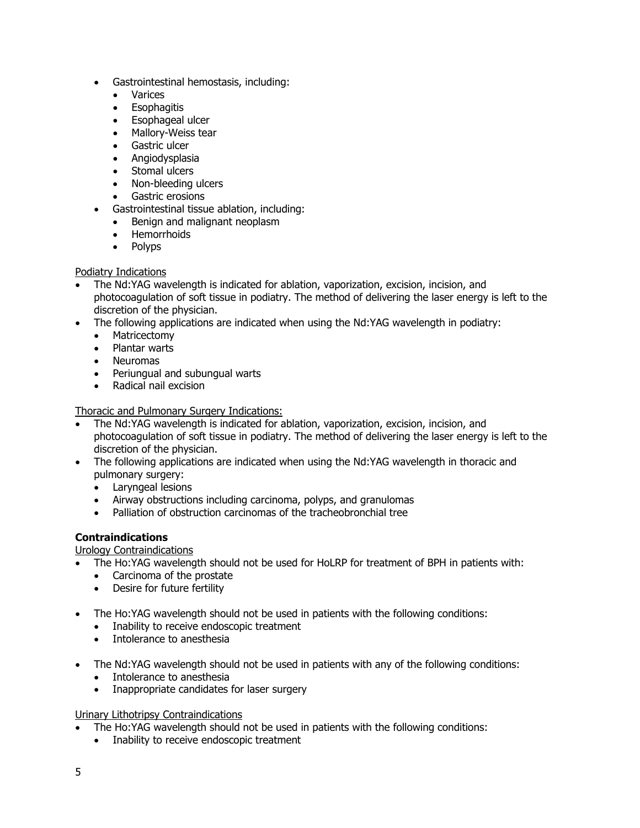- Gastrointestinal hemostasis, including:
	- Varices
	- Esophagitis
	- Esophageal ulcer
	- Mallory-Weiss tear
	- Gastric ulcer
	- Angiodysplasia
	- Stomal ulcers
	- Non-bleeding ulcers
	- Gastric erosions
- Gastrointestinal tissue ablation, including:
	- Benign and malignant neoplasm
	- Hemorrhoids
	- Polyps

# Podiatry Indications

- The Nd:YAG wavelength is indicated for ablation, vaporization, excision, incision, and photocoagulation of soft tissue in podiatry. The method of delivering the laser energy is left to the discretion of the physician.
- The following applications are indicated when using the Nd:YAG wavelength in podiatry:
	- Matricectomy
	- Plantar warts
	- Neuromas
	- Periungual and subungual warts
	- Radical nail excision

Thoracic and Pulmonary Surgery Indications:

- The Nd:YAG wavelength is indicated for ablation, vaporization, excision, incision, and photocoagulation of soft tissue in podiatry. The method of delivering the laser energy is left to the discretion of the physician.
- The following applications are indicated when using the Nd:YAG wavelength in thoracic and pulmonary surgery:
	- Laryngeal lesions
	- Airway obstructions including carcinoma, polyps, and granulomas
	- Palliation of obstruction carcinomas of the tracheobronchial tree

# **Contraindications**

Urology Contraindications

- The Ho:YAG wavelength should not be used for HoLRP for treatment of BPH in patients with:
	- Carcinoma of the prostate
	- Desire for future fertility
- The Ho:YAG wavelength should not be used in patients with the following conditions:
	- Inability to receive endoscopic treatment
	- Intolerance to anesthesia
- The Nd:YAG wavelength should not be used in patients with any of the following conditions:
	- Intolerance to anesthesia
	- Inappropriate candidates for laser surgery

#### Urinary Lithotripsy Contraindications

- The Ho:YAG wavelength should not be used in patients with the following conditions:
	- Inability to receive endoscopic treatment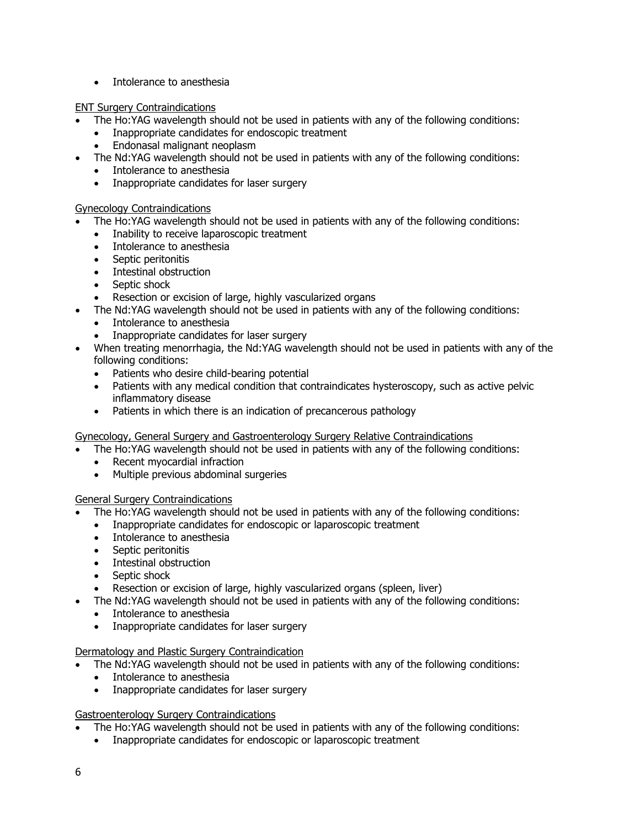• Intolerance to anesthesia

# ENT Surgery Contraindications

- The Ho:YAG wavelength should not be used in patients with any of the following conditions:
	- Inappropriate candidates for endoscopic treatment
	- Endonasal malignant neoplasm
- The Nd:YAG wavelength should not be used in patients with any of the following conditions:
	- Intolerance to anesthesia
	- Inappropriate candidates for laser surgery

# Gynecology Contraindications

- The Ho:YAG wavelength should not be used in patients with any of the following conditions:
	- Inability to receive laparoscopic treatment
	- Intolerance to anesthesia
	- Septic peritonitis
	- Intestinal obstruction
	- Septic shock
	- Resection or excision of large, highly vascularized organs
	- The Nd:YAG wavelength should not be used in patients with any of the following conditions:
	- Intolerance to anesthesia
	- Inappropriate candidates for laser surgery
- When treating menorrhagia, the Nd:YAG wavelength should not be used in patients with any of the following conditions:
	- Patients who desire child-bearing potential
	- Patients with any medical condition that contraindicates hysteroscopy, such as active pelvic inflammatory disease
	- Patients in which there is an indication of precancerous pathology

Gynecology, General Surgery and Gastroenterology Surgery Relative Contraindications

- The Ho:YAG wavelength should not be used in patients with any of the following conditions:
	- Recent myocardial infraction
	- Multiple previous abdominal surgeries

General Surgery Contraindications

- The Ho:YAG wavelength should not be used in patients with any of the following conditions:
- Inappropriate candidates for endoscopic or laparoscopic treatment
- Intolerance to anesthesia
- Septic peritonitis
- Intestinal obstruction
- Septic shock
- Resection or excision of large, highly vascularized organs (spleen, liver)
- The Nd:YAG wavelength should not be used in patients with any of the following conditions:
- Intolerance to anesthesia
- Inappropriate candidates for laser surgery

#### Dermatology and Plastic Surgery Contraindication

- The Nd:YAG wavelength should not be used in patients with any of the following conditions:
	- Intolerance to anesthesia
	- Inappropriate candidates for laser surgery

#### Gastroenterology Surgery Contraindications

- The Ho:YAG wavelength should not be used in patients with any of the following conditions:
	- Inappropriate candidates for endoscopic or laparoscopic treatment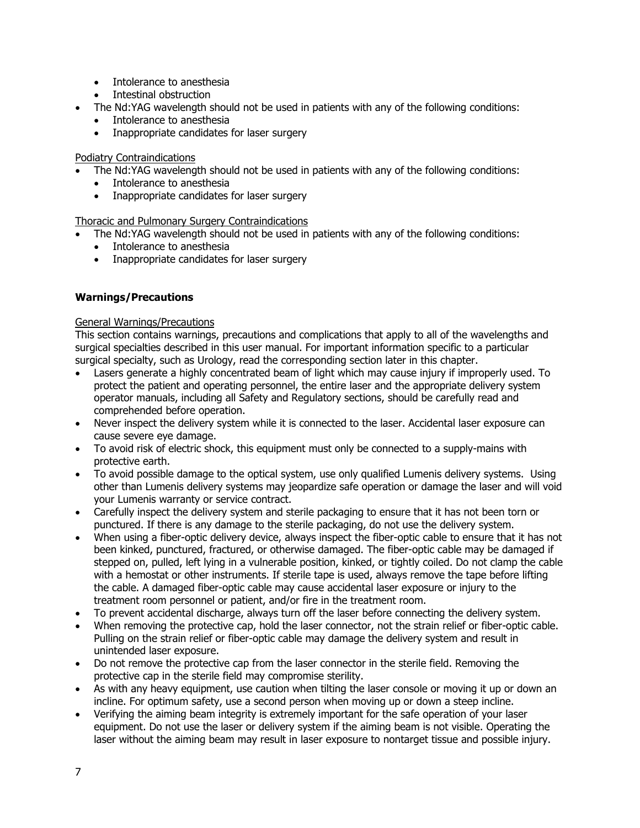- Intolerance to anesthesia
- Intestinal obstruction
- The Nd:YAG wavelength should not be used in patients with any of the following conditions:
	- Intolerance to anesthesia
	- Inappropriate candidates for laser surgery

#### Podiatry Contraindications

- The Nd:YAG wavelength should not be used in patients with any of the following conditions:
- Intolerance to anesthesia
- Inappropriate candidates for laser surgery

# Thoracic and Pulmonary Surgery Contraindications

- The Nd:YAG wavelength should not be used in patients with any of the following conditions:
	- Intolerance to anesthesia
	- Inappropriate candidates for laser surgery

# **Warnings/Precautions**

#### General Warnings/Precautions

This section contains warnings, precautions and complications that apply to all of the wavelengths and surgical specialties described in this user manual. For important information specific to a particular surgical specialty, such as Urology, read the corresponding section later in this chapter.

- Lasers generate a highly concentrated beam of light which may cause injury if improperly used. To protect the patient and operating personnel, the entire laser and the appropriate delivery system operator manuals, including all Safety and Regulatory sections, should be carefully read and comprehended before operation.
- Never inspect the delivery system while it is connected to the laser. Accidental laser exposure can cause severe eye damage.
- To avoid risk of electric shock, this equipment must only be connected to a supply-mains with protective earth.
- To avoid possible damage to the optical system, use only qualified Lumenis delivery systems. Using other than Lumenis delivery systems may jeopardize safe operation or damage the laser and will void your Lumenis warranty or service contract.
- Carefully inspect the delivery system and sterile packaging to ensure that it has not been torn or punctured. If there is any damage to the sterile packaging, do not use the delivery system.
- When using a fiber-optic delivery device, always inspect the fiber-optic cable to ensure that it has not been kinked, punctured, fractured, or otherwise damaged. The fiber-optic cable may be damaged if stepped on, pulled, left lying in a vulnerable position, kinked, or tightly coiled. Do not clamp the cable with a hemostat or other instruments. If sterile tape is used, always remove the tape before lifting the cable. A damaged fiber-optic cable may cause accidental laser exposure or injury to the treatment room personnel or patient, and/or fire in the treatment room.
- To prevent accidental discharge, always turn off the laser before connecting the delivery system.
- When removing the protective cap, hold the laser connector, not the strain relief or fiber-optic cable. Pulling on the strain relief or fiber-optic cable may damage the delivery system and result in unintended laser exposure.
- Do not remove the protective cap from the laser connector in the sterile field. Removing the protective cap in the sterile field may compromise sterility.
- As with any heavy equipment, use caution when tilting the laser console or moving it up or down an incline. For optimum safety, use a second person when moving up or down a steep incline.
- Verifying the aiming beam integrity is extremely important for the safe operation of your laser equipment. Do not use the laser or delivery system if the aiming beam is not visible. Operating the laser without the aiming beam may result in laser exposure to nontarget tissue and possible injury.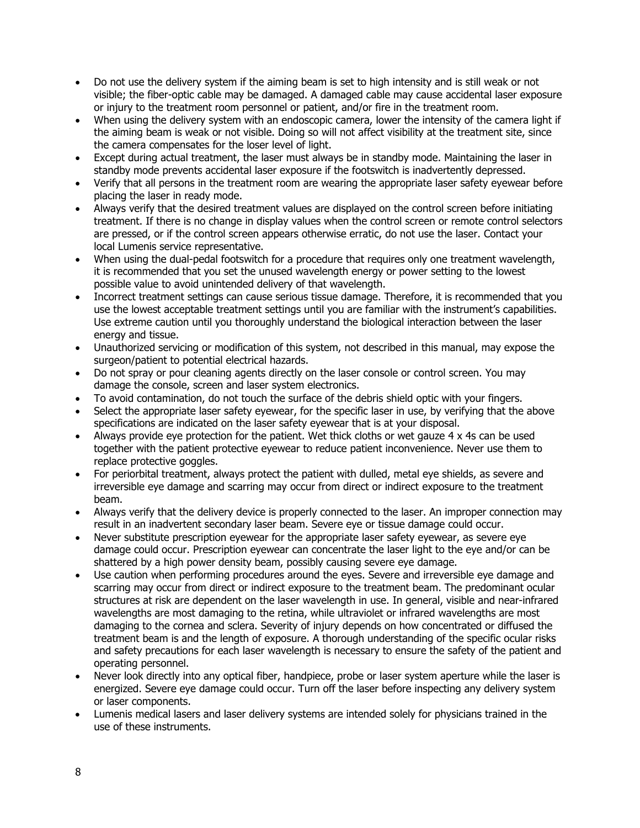- Do not use the delivery system if the aiming beam is set to high intensity and is still weak or not visible; the fiber-optic cable may be damaged. A damaged cable may cause accidental laser exposure or injury to the treatment room personnel or patient, and/or fire in the treatment room.
- When using the delivery system with an endoscopic camera, lower the intensity of the camera light if the aiming beam is weak or not visible. Doing so will not affect visibility at the treatment site, since the camera compensates for the loser level of light.
- Except during actual treatment, the laser must always be in standby mode. Maintaining the laser in standby mode prevents accidental laser exposure if the footswitch is inadvertently depressed.
- Verify that all persons in the treatment room are wearing the appropriate laser safety eyewear before placing the laser in ready mode.
- Always verify that the desired treatment values are displayed on the control screen before initiating treatment. If there is no change in display values when the control screen or remote control selectors are pressed, or if the control screen appears otherwise erratic, do not use the laser. Contact your local Lumenis service representative.
- When using the dual-pedal footswitch for a procedure that requires only one treatment wavelength, it is recommended that you set the unused wavelength energy or power setting to the lowest possible value to avoid unintended delivery of that wavelength.
- Incorrect treatment settings can cause serious tissue damage. Therefore, it is recommended that you use the lowest acceptable treatment settings until you are familiar with the instrument's capabilities. Use extreme caution until you thoroughly understand the biological interaction between the laser energy and tissue.
- Unauthorized servicing or modification of this system, not described in this manual, may expose the surgeon/patient to potential electrical hazards.
- Do not spray or pour cleaning agents directly on the laser console or control screen. You may damage the console, screen and laser system electronics.
- To avoid contamination, do not touch the surface of the debris shield optic with your fingers.
- Select the appropriate laser safety eyewear, for the specific laser in use, by verifying that the above specifications are indicated on the laser safety eyewear that is at your disposal.
- Always provide eye protection for the patient. Wet thick cloths or wet gauze  $4 \times 4$ s can be used together with the patient protective eyewear to reduce patient inconvenience. Never use them to replace protective goggles.
- For periorbital treatment, always protect the patient with dulled, metal eye shields, as severe and irreversible eye damage and scarring may occur from direct or indirect exposure to the treatment beam.
- Always verify that the delivery device is properly connected to the laser. An improper connection may result in an inadvertent secondary laser beam. Severe eye or tissue damage could occur.
- Never substitute prescription eyewear for the appropriate laser safety eyewear, as severe eye damage could occur. Prescription eyewear can concentrate the laser light to the eye and/or can be shattered by a high power density beam, possibly causing severe eye damage.
- Use caution when performing procedures around the eyes. Severe and irreversible eye damage and scarring may occur from direct or indirect exposure to the treatment beam. The predominant ocular structures at risk are dependent on the laser wavelength in use. In general, visible and near-infrared wavelengths are most damaging to the retina, while ultraviolet or infrared wavelengths are most damaging to the cornea and sclera. Severity of injury depends on how concentrated or diffused the treatment beam is and the length of exposure. A thorough understanding of the specific ocular risks and safety precautions for each laser wavelength is necessary to ensure the safety of the patient and operating personnel.
- Never look directly into any optical fiber, handpiece, probe or laser system aperture while the laser is energized. Severe eye damage could occur. Turn off the laser before inspecting any delivery system or laser components.
- Lumenis medical lasers and laser delivery systems are intended solely for physicians trained in the use of these instruments.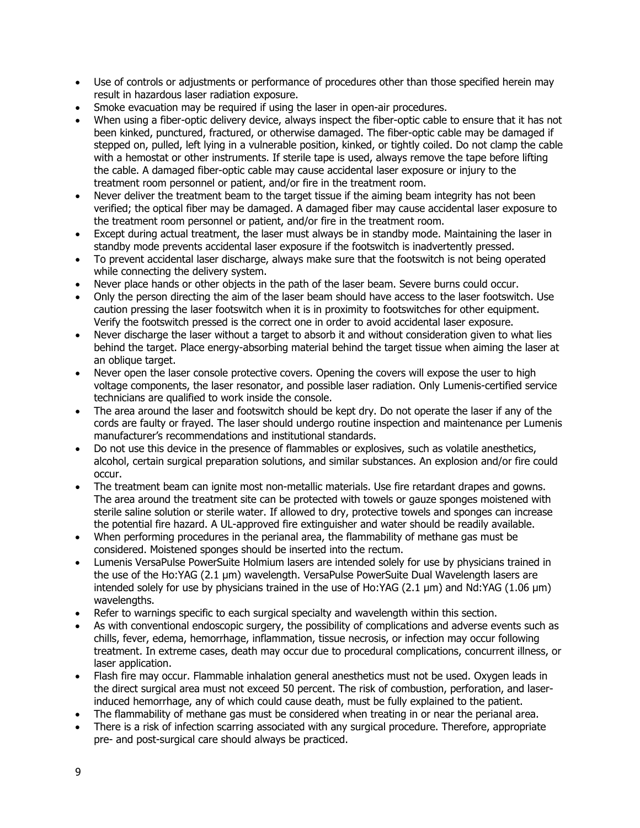- Use of controls or adjustments or performance of procedures other than those specified herein may result in hazardous laser radiation exposure.
- Smoke evacuation may be required if using the laser in open-air procedures.
- When using a fiber-optic delivery device, always inspect the fiber-optic cable to ensure that it has not been kinked, punctured, fractured, or otherwise damaged. The fiber-optic cable may be damaged if stepped on, pulled, left lying in a vulnerable position, kinked, or tightly coiled. Do not clamp the cable with a hemostat or other instruments. If sterile tape is used, always remove the tape before lifting the cable. A damaged fiber-optic cable may cause accidental laser exposure or injury to the treatment room personnel or patient, and/or fire in the treatment room.
- Never deliver the treatment beam to the target tissue if the aiming beam integrity has not been verified; the optical fiber may be damaged. A damaged fiber may cause accidental laser exposure to the treatment room personnel or patient, and/or fire in the treatment room.
- Except during actual treatment, the laser must always be in standby mode. Maintaining the laser in standby mode prevents accidental laser exposure if the footswitch is inadvertently pressed.
- To prevent accidental laser discharge, always make sure that the footswitch is not being operated while connecting the delivery system.
- Never place hands or other objects in the path of the laser beam. Severe burns could occur.
- Only the person directing the aim of the laser beam should have access to the laser footswitch. Use caution pressing the laser footswitch when it is in proximity to footswitches for other equipment. Verify the footswitch pressed is the correct one in order to avoid accidental laser exposure.
- Never discharge the laser without a target to absorb it and without consideration given to what lies behind the target. Place energy-absorbing material behind the target tissue when aiming the laser at an oblique target.
- Never open the laser console protective covers. Opening the covers will expose the user to high voltage components, the laser resonator, and possible laser radiation. Only Lumenis-certified service technicians are qualified to work inside the console.
- The area around the laser and footswitch should be kept dry. Do not operate the laser if any of the cords are faulty or frayed. The laser should undergo routine inspection and maintenance per Lumenis manufacturer's recommendations and institutional standards.
- Do not use this device in the presence of flammables or explosives, such as volatile anesthetics, alcohol, certain surgical preparation solutions, and similar substances. An explosion and/or fire could occur.
- The treatment beam can ignite most non-metallic materials. Use fire retardant drapes and gowns. The area around the treatment site can be protected with towels or gauze sponges moistened with sterile saline solution or sterile water. If allowed to dry, protective towels and sponges can increase the potential fire hazard. A UL-approved fire extinguisher and water should be readily available.
- When performing procedures in the perianal area, the flammability of methane gas must be considered. Moistened sponges should be inserted into the rectum.
- Lumenis VersaPulse PowerSuite Holmium lasers are intended solely for use by physicians trained in the use of the Ho:YAG (2.1 μm) wavelength. VersaPulse PowerSuite Dual Wavelength lasers are intended solely for use by physicians trained in the use of Ho:YAG (2.1 μm) and Nd:YAG (1.06 μm) wavelengths.
- Refer to warnings specific to each surgical specialty and wavelength within this section.
- As with conventional endoscopic surgery, the possibility of complications and adverse events such as chills, fever, edema, hemorrhage, inflammation, tissue necrosis, or infection may occur following treatment. In extreme cases, death may occur due to procedural complications, concurrent illness, or laser application.
- Flash fire may occur. Flammable inhalation general anesthetics must not be used. Oxygen leads in the direct surgical area must not exceed 50 percent. The risk of combustion, perforation, and laserinduced hemorrhage, any of which could cause death, must be fully explained to the patient.
- The flammability of methane gas must be considered when treating in or near the perianal area.
- There is a risk of infection scarring associated with any surgical procedure. Therefore, appropriate pre- and post-surgical care should always be practiced.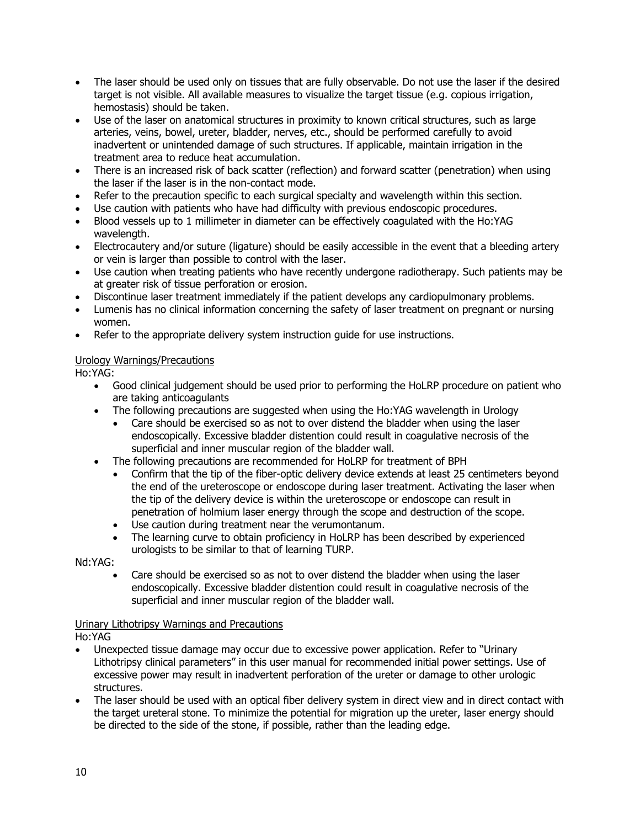- The laser should be used only on tissues that are fully observable. Do not use the laser if the desired target is not visible. All available measures to visualize the target tissue (e.g. copious irrigation, hemostasis) should be taken.
- Use of the laser on anatomical structures in proximity to known critical structures, such as large arteries, veins, bowel, ureter, bladder, nerves, etc., should be performed carefully to avoid inadvertent or unintended damage of such structures. If applicable, maintain irrigation in the treatment area to reduce heat accumulation.
- There is an increased risk of back scatter (reflection) and forward scatter (penetration) when using the laser if the laser is in the non-contact mode.
- Refer to the precaution specific to each surgical specialty and wavelength within this section.
- Use caution with patients who have had difficulty with previous endoscopic procedures.
- Blood vessels up to 1 millimeter in diameter can be effectively coagulated with the Ho:YAG wavelength.
- Electrocautery and/or suture (ligature) should be easily accessible in the event that a bleeding artery or vein is larger than possible to control with the laser.
- Use caution when treating patients who have recently undergone radiotherapy. Such patients may be at greater risk of tissue perforation or erosion.
- Discontinue laser treatment immediately if the patient develops any cardiopulmonary problems.
- Lumenis has no clinical information concerning the safety of laser treatment on pregnant or nursing women.
- Refer to the appropriate delivery system instruction guide for use instructions.

#### Urology Warnings/Precautions

Ho:YAG:

- Good clinical judgement should be used prior to performing the HoLRP procedure on patient who are taking anticoagulants
- The following precautions are suggested when using the Ho:YAG wavelength in Urology
	- Care should be exercised so as not to over distend the bladder when using the laser endoscopically. Excessive bladder distention could result in coagulative necrosis of the superficial and inner muscular region of the bladder wall.
- The following precautions are recommended for HoLRP for treatment of BPH
	- Confirm that the tip of the fiber-optic delivery device extends at least 25 centimeters beyond the end of the ureteroscope or endoscope during laser treatment. Activating the laser when the tip of the delivery device is within the ureteroscope or endoscope can result in penetration of holmium laser energy through the scope and destruction of the scope.
	- Use caution during treatment near the verumontanum.
	- The learning curve to obtain proficiency in HoLRP has been described by experienced urologists to be similar to that of learning TURP.

Nd:YAG:

• Care should be exercised so as not to over distend the bladder when using the laser endoscopically. Excessive bladder distention could result in coagulative necrosis of the superficial and inner muscular region of the bladder wall.

#### Urinary Lithotripsy Warnings and Precautions

Ho:YAG

- Unexpected tissue damage may occur due to excessive power application. Refer to "Urinary Lithotripsy clinical parameters" in this user manual for recommended initial power settings. Use of excessive power may result in inadvertent perforation of the ureter or damage to other urologic structures.
- The laser should be used with an optical fiber delivery system in direct view and in direct contact with the target ureteral stone. To minimize the potential for migration up the ureter, laser energy should be directed to the side of the stone, if possible, rather than the leading edge.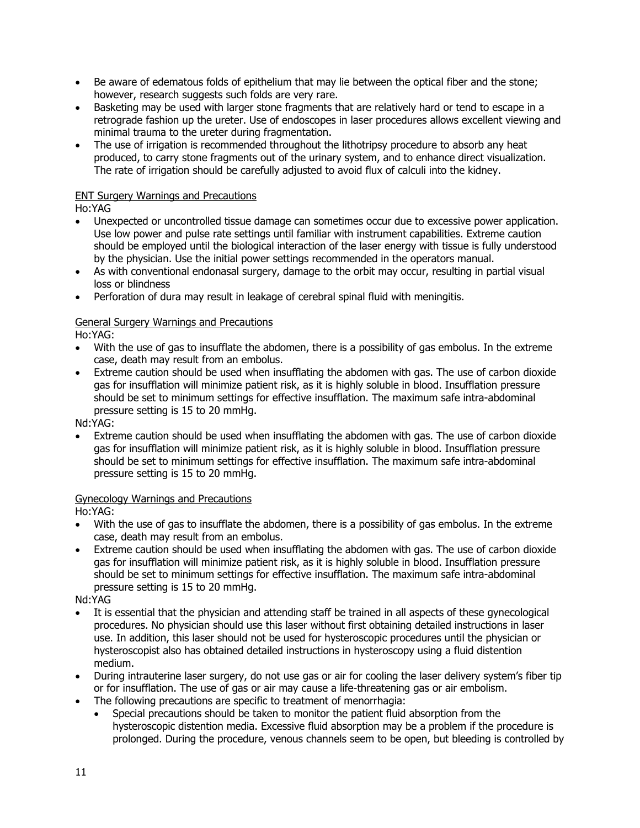- Be aware of edematous folds of epithelium that may lie between the optical fiber and the stone; however, research suggests such folds are very rare.
- Basketing may be used with larger stone fragments that are relatively hard or tend to escape in a retrograde fashion up the ureter. Use of endoscopes in laser procedures allows excellent viewing and minimal trauma to the ureter during fragmentation.
- The use of irrigation is recommended throughout the lithotripsy procedure to absorb any heat produced, to carry stone fragments out of the urinary system, and to enhance direct visualization. The rate of irrigation should be carefully adjusted to avoid flux of calculi into the kidney.

# ENT Surgery Warnings and Precautions

Ho:YAG

- Unexpected or uncontrolled tissue damage can sometimes occur due to excessive power application. Use low power and pulse rate settings until familiar with instrument capabilities. Extreme caution should be employed until the biological interaction of the laser energy with tissue is fully understood by the physician. Use the initial power settings recommended in the operators manual.
- As with conventional endonasal surgery, damage to the orbit may occur, resulting in partial visual loss or blindness
- Perforation of dura may result in leakage of cerebral spinal fluid with meningitis.

# General Surgery Warnings and Precautions

Ho:YAG:

- With the use of gas to insufflate the abdomen, there is a possibility of gas embolus. In the extreme case, death may result from an embolus.
- Extreme caution should be used when insufflating the abdomen with gas. The use of carbon dioxide gas for insufflation will minimize patient risk, as it is highly soluble in blood. Insufflation pressure should be set to minimum settings for effective insufflation. The maximum safe intra-abdominal pressure setting is 15 to 20 mmHg.

Nd:YAG:

• Extreme caution should be used when insufflating the abdomen with gas. The use of carbon dioxide gas for insufflation will minimize patient risk, as it is highly soluble in blood. Insufflation pressure should be set to minimum settings for effective insufflation. The maximum safe intra-abdominal pressure setting is 15 to 20 mmHg.

#### Gynecology Warnings and Precautions

Ho:YAG:

- With the use of gas to insufflate the abdomen, there is a possibility of gas embolus. In the extreme case, death may result from an embolus.
- Extreme caution should be used when insufflating the abdomen with gas. The use of carbon dioxide gas for insufflation will minimize patient risk, as it is highly soluble in blood. Insufflation pressure should be set to minimum settings for effective insufflation. The maximum safe intra-abdominal pressure setting is 15 to 20 mmHg.

Nd:YAG

- It is essential that the physician and attending staff be trained in all aspects of these gynecological procedures. No physician should use this laser without first obtaining detailed instructions in laser use. In addition, this laser should not be used for hysteroscopic procedures until the physician or hysteroscopist also has obtained detailed instructions in hysteroscopy using a fluid distention medium.
- During intrauterine laser surgery, do not use gas or air for cooling the laser delivery system's fiber tip or for insufflation. The use of gas or air may cause a life-threatening gas or air embolism.
- The following precautions are specific to treatment of menorrhagia:
	- Special precautions should be taken to monitor the patient fluid absorption from the hysteroscopic distention media. Excessive fluid absorption may be a problem if the procedure is prolonged. During the procedure, venous channels seem to be open, but bleeding is controlled by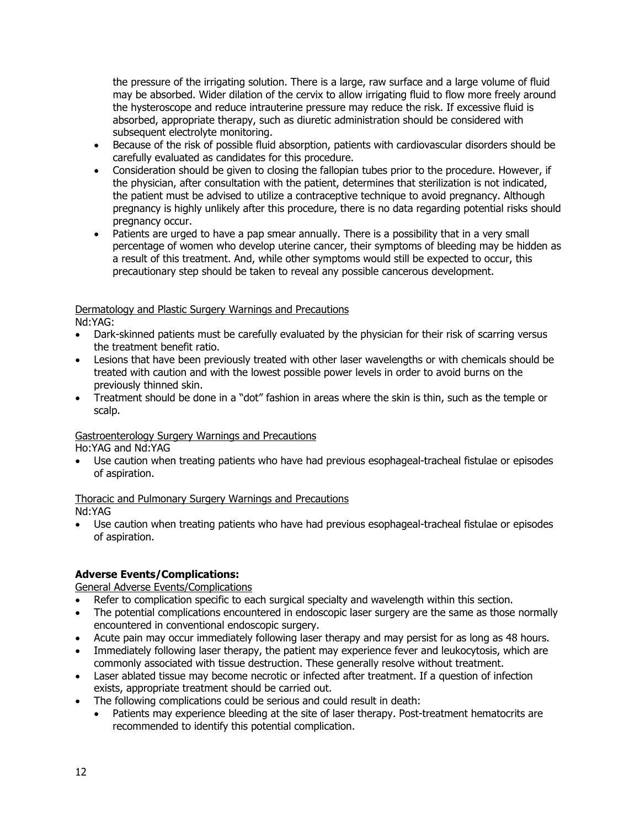the pressure of the irrigating solution. There is a large, raw surface and a large volume of fluid may be absorbed. Wider dilation of the cervix to allow irrigating fluid to flow more freely around the hysteroscope and reduce intrauterine pressure may reduce the risk. If excessive fluid is absorbed, appropriate therapy, such as diuretic administration should be considered with subsequent electrolyte monitoring.

- Because of the risk of possible fluid absorption, patients with cardiovascular disorders should be carefully evaluated as candidates for this procedure.
- Consideration should be given to closing the fallopian tubes prior to the procedure. However, if the physician, after consultation with the patient, determines that sterilization is not indicated, the patient must be advised to utilize a contraceptive technique to avoid pregnancy. Although pregnancy is highly unlikely after this procedure, there is no data regarding potential risks should pregnancy occur.
- Patients are urged to have a pap smear annually. There is a possibility that in a very small percentage of women who develop uterine cancer, their symptoms of bleeding may be hidden as a result of this treatment. And, while other symptoms would still be expected to occur, this precautionary step should be taken to reveal any possible cancerous development.

# Dermatology and Plastic Surgery Warnings and Precautions

Nd:YAG:

- Dark-skinned patients must be carefully evaluated by the physician for their risk of scarring versus the treatment benefit ratio.
- Lesions that have been previously treated with other laser wavelengths or with chemicals should be treated with caution and with the lowest possible power levels in order to avoid burns on the previously thinned skin.
- Treatment should be done in a "dot" fashion in areas where the skin is thin, such as the temple or scalp.

# Gastroenterology Surgery Warnings and Precautions

Ho:YAG and Nd:YAG

• Use caution when treating patients who have had previous esophageal-tracheal fistulae or episodes of aspiration.

# Thoracic and Pulmonary Surgery Warnings and Precautions

Nd:YAG

• Use caution when treating patients who have had previous esophageal-tracheal fistulae or episodes of aspiration.

# **Adverse Events/Complications:**

General Adverse Events/Complications

- Refer to complication specific to each surgical specialty and wavelength within this section.
- The potential complications encountered in endoscopic laser surgery are the same as those normally encountered in conventional endoscopic surgery.
- Acute pain may occur immediately following laser therapy and may persist for as long as 48 hours.
- Immediately following laser therapy, the patient may experience fever and leukocytosis, which are commonly associated with tissue destruction. These generally resolve without treatment.
- Laser ablated tissue may become necrotic or infected after treatment. If a question of infection exists, appropriate treatment should be carried out.
- The following complications could be serious and could result in death:
	- Patients may experience bleeding at the site of laser therapy. Post-treatment hematocrits are recommended to identify this potential complication.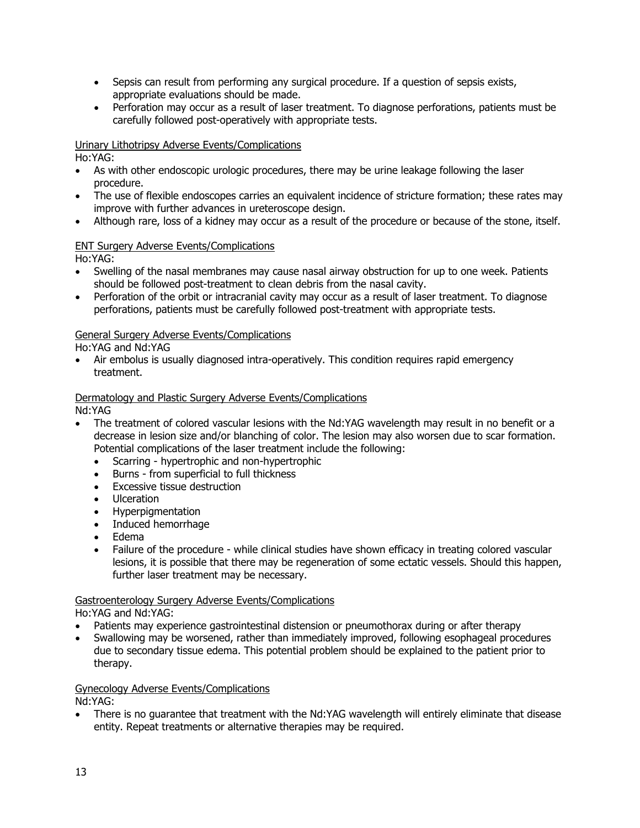- Sepsis can result from performing any surgical procedure. If a question of sepsis exists, appropriate evaluations should be made.
- Perforation may occur as a result of laser treatment. To diagnose perforations, patients must be carefully followed post-operatively with appropriate tests.

# Urinary Lithotripsy Adverse Events/Complications

Ho:YAG:

- As with other endoscopic urologic procedures, there may be urine leakage following the laser procedure.
- The use of flexible endoscopes carries an equivalent incidence of stricture formation; these rates may improve with further advances in ureteroscope design.
- Although rare, loss of a kidney may occur as a result of the procedure or because of the stone, itself.

# ENT Surgery Adverse Events/Complications

Ho:YAG:

- Swelling of the nasal membranes may cause nasal airway obstruction for up to one week. Patients should be followed post-treatment to clean debris from the nasal cavity.
- Perforation of the orbit or intracranial cavity may occur as a result of laser treatment. To diagnose perforations, patients must be carefully followed post-treatment with appropriate tests.

# General Surgery Adverse Events/Complications

Ho:YAG and Nd:YAG

• Air embolus is usually diagnosed intra-operatively. This condition requires rapid emergency treatment.

# Dermatology and Plastic Surgery Adverse Events/Complications

Nd:YAG

- The treatment of colored vascular lesions with the Nd:YAG wavelength may result in no benefit or a decrease in lesion size and/or blanching of color. The lesion may also worsen due to scar formation. Potential complications of the laser treatment include the following:
	- Scarring hypertrophic and non-hypertrophic
	- Burns from superficial to full thickness
	- Excessive tissue destruction
	- Ulceration
	- Hyperpigmentation
	- Induced hemorrhage
	- Edema
	- Failure of the procedure while clinical studies have shown efficacy in treating colored vascular lesions, it is possible that there may be regeneration of some ectatic vessels. Should this happen, further laser treatment may be necessary.

# Gastroenterology Surgery Adverse Events/Complications

Ho:YAG and Nd:YAG:

- Patients may experience gastrointestinal distension or pneumothorax during or after therapy
- Swallowing may be worsened, rather than immediately improved, following esophageal procedures due to secondary tissue edema. This potential problem should be explained to the patient prior to therapy.

Gynecology Adverse Events/Complications Nd:YAG:

• There is no guarantee that treatment with the Nd:YAG wavelength will entirely eliminate that disease entity. Repeat treatments or alternative therapies may be required.